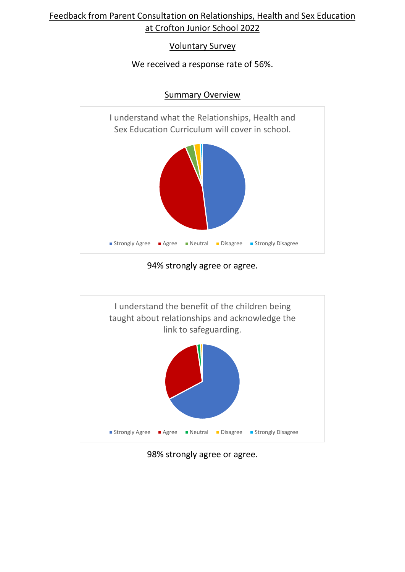# Feedback from Parent Consultation on Relationships, Health and Sex Education at Crofton Junior School 2022

### Voluntary Survey

## We received a response rate of 56%.



## Summary Overview

## 94% strongly agree or agree.



# 98% strongly agree or agree.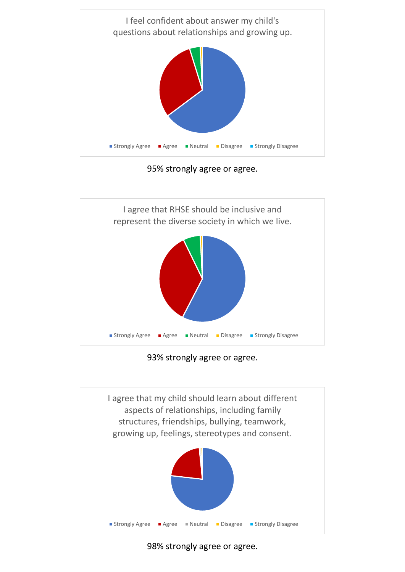

95% strongly agree or agree.



93% strongly agree or agree.



98% strongly agree or agree.